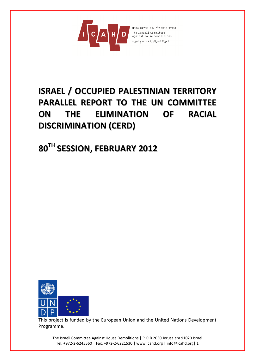

# **ISRAEL / OCCUPIED PALESTINIAN TERRITORY PARALLEL REPORT TO THE UN COMMITTEE ON THE ELIMINATION OF RACIAL DISCRIMINATION (CERD)**

**80 TH SESSION, FEBRUARY 2012**



This project is funded by the European Union and the United Nations Development Programme.

The Israeli Committee Against House Demolitions | P.O.B 2030 Jerusalem 91020 Israel Tel. +972-2-6245560 | Fax. +972-2-6221530 | www.icahd.org | info@icahd.org| 1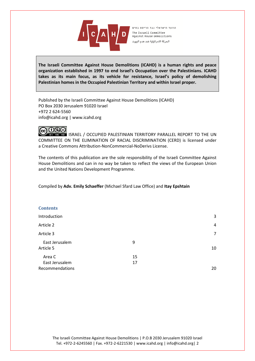

**The Israeli Committee Against House Demolitions (ICAHD) is a human rights and peace organization established in 1997 to end Israel's Occupation over the Palestinians. ICAHD takes as its main focus, as its vehicle for resistance, Israel's policy of demolishing Palestinian homes in the Occupied Palestinian Territory and within Israel proper.** 

Published by the Israeli Committee Against House Demolitions (ICAHD) PO Box 2030 Jerusalem 91020 Israel +972 2 624-5560 info@icahd.org | www.icahd.org

# |@0®@

**BY RO ROLL ISRAEL / OCCUPIED PALESTINIAN TERRITORY PARALLEL REPORT TO THE UN** COMMITTEE ON THE ELIMINATION OF RACIAL DISCRIMINATION (CERD) is licensed under a Creative Commons Attribution-NonCommercial-NoDerivs License.

The contents of this publication are the sole responsibility of the Israeli Committee Against House Demolitions and can in no way be taken to reflect the views of the European Union and the United Nations Development Programme.

Compiled by **Adv. Emily Schaeffer** (Michael Sfard Law Office) and **Itay Epshtain**

# **Contents Introduction** 3 Article 2 and 2 4 Article 2 and 2 4 Article 2 and 2 4 Article 2 and 2 4 Article 2 and 2 4 Article 3 7 East Jerusalem 9 Article 5 10 Area C 15 East Jerusalem 17 Recommendations 20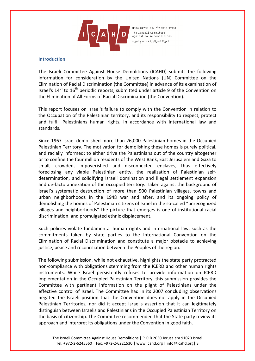

#### **Introduction**

The Israeli Committee Against House Demolitions (ICAHD) submits the following information for consideration by the United Nations (UN) Committee on the Elimination of Racial Discrimination (the Committee) in advance of its examination of Israel's  $14<sup>th</sup>$  to  $16<sup>th</sup>$  periodic reports, submitted under article 9 of the Convention on the Elimination of All Forms of Racial Discrimination (the Convention).

This report focuses on Israel's failure to comply with the Convention in relation to the Occupation of the Palestinian territory, and its responsibility to respect, protect and fulfill Palestinians human rights, in accordance with international law and standards.

Since 1967 Israel demolished more than 26,000 Palestinian homes in the Occupied Palestinian Territory. The motivation for demolishing these homes is purely political, and racially informed: to either drive the Palestinians out of the country altogether or to confine the four million residents of the West Bank, East Jerusalem and Gaza to small, crowded, impoverished and disconnected enclaves, thus effectively foreclosing any viable Palestinian entity, the realization of Palestinian selfdetermination, and solidifying Israeli domination and illegal settlement expansion and de-facto annexation of the occupied territory. Taken against the background of Israel's systematic destruction of more than 500 Palestinian villages, towns and urban neighborhoods in the 1948 war and after, and its ongoing policy of demolishing the homes of Palestinian citizens of Israel in the so-called "unrecognized villages and neighborhoods" the picture that emerges is one of institutional racial discrimination, and promulgated ethnic displacement.

Such policies violate fundamental human rights and international law, such as the commitments taken by state parties to the International Convention on the Elimination of Racial Discrimination and constitute a major obstacle to achieving justice, peace and reconciliation between the Peoples of the region.

The following submission, while not exhaustive, highlights the state party protracted non-compliance with obligations stemming from the ICERD and other human rights instruments. While Israel persistently refuses to provide information on ICERD implementation in the Occupied Palestinian Territory, this submission provides the Committee with pertinent information on the plight of Palestinians under the effective control of Israel. The Committee had in its 2007 concluding observations negated the Israeli position that the Convention does not apply in the Occupied Palestinian Territories, nor did it accept Israel's assertion that it can legitimately distinguish between Israelis and Palestinians in the Occupied Palestinian Territory on the basis of citizenship. The Committee recommended that the State party review its approach and interpret its obligations under the Convention in good faith.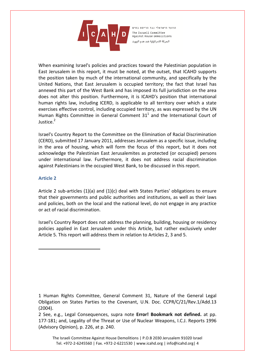

When examining Israel's policies and practices toward the Palestinian population in East Jerusalem in this report, it must be noted, at the outset, that ICAHD supports the position taken by much of the international community, and specifically by the United Nations, that East Jerusalem is occupied territory; the fact that Israel has annexed this part of the West Bank and has imposed its full jurisdiction on the area does not alter this position. Furthermore, it is ICAHD's position that international human rights law, including ICERD, is applicable to all territory over which a state exercises effective control, including occupied territory, as was expressed by the UN Human Rights Committee in General Comment 31<sup>1</sup> and the International Court of  $Justice<sup>2</sup>$ 

Israel's Country Report to the Committee on the Elimination of Racial Discrimination (CERD), submitted 17 January 2011, addresses Jerusalem as a specific issue, including in the area of housing, which will form the focus of this report, but it does not acknowledge the Palestinian East Jerusalemites as protected (or occupied) persons under international law. Furthermore, it does not address racial discrimination against Palestinians in the occupied West Bank, to be discussed in this report.

## **Article 2**

 $\overline{a}$ 

Article 2 sub-articles (1)(a) and (1)(c) deal with States Parties' obligations to ensure that their governments and public authorities and institutions, as well as their laws and policies, both on the local and the national level, do not engage in any practice or act of racial discrimination.

Israel's Country Report does not address the planning, building, housing or residency policies applied in East Jerusalem under this Article, but rather exclusively under Article 5. This report will address them in relation to Articles 2, 3 and 5.

<sup>1</sup> Human Rights Committee, General Comment 31, Nature of the General Legal Obligation on States Parties to the Covenant, U.N. Doc. CCPR/C/21/Rev.1/Add.13 (2004).

<sup>2</sup> See, e.g., Legal Consequences, supra note **Error! Bookmark not defined.** at pp. 177-181; and, Legality of the Threat or Use of Nuclear Weapons, I.C.J. Reports 1996 (Advisory Opinion), p. 226, at p. 240.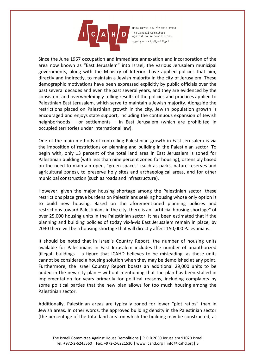

Since the June 1967 occupation and immediate annexation and incorporation of the area now known as "East Jerusalem" into Israel, the various Jerusalem municipal governments, along with the Ministry of Interior, have applied policies that aim, directly and indirectly, to maintain a Jewish majority in the city of Jerusalem. These demographic motivations have been expressed explicitly by public officials over the past several decades and even the past several years, and they are evidenced by the consistent and overwhelmingly telling results of the policies and practices applied to Palestinian East Jerusalem, which serve to maintain a Jewish majority. Alongside the restrictions placed on Palestinian growth in the city, Jewish population growth is encouraged and enjoys state support, including the continuous expansion of Jewish neighborhoods – or settlements – in East Jerusalem (which are prohibited in occupied territories under international law).

One of the main methods of controlling Palestinian growth in East Jerusalem is via the imposition of restrictions on planning and building in the Palestinian sector. To begin with, only 13 percent of the total land area in East Jerusalem is zoned for Palestinian building (with less than nine percent zoned for housing), ostensibly based on the need to maintain open, "green spaces" (such as parks, nature reserves and agricultural zones), to preserve holy sites and archaeological areas, and for other municipal construction (such as roads and infrastructure).

However, given the major housing shortage among the Palestinian sector, these restrictions place grave burdens on Palestinians seeking housing whose only option is to build new housing. Based on the aforementioned planning policies and restrictions toward Palestinians in the city, there is an "artificial housing shortage" of over 25,000 housing units in the Palestinian sector. It has been estimated that if the planning and building policies of today vis-à-vis East Jerusalem remain in place, by 2030 there will be a housing shortage that will directly affect 150,000 Palestinians.

It should be noted that in Israel's Country Report, the number of housing units available for Palestinians in East Jerusalem includes the number of unauthorized (illegal) buildings – a figure that ICAHD believes to be misleading, as these units cannot be considered a housing solution when they may be demolished at any point. Furthermore, the Israel Country Report boasts an additional 29,000 units to be added in the new city plan – without mentioning that the plan has been stalled in implementation for years primarily for political reasons, including complaints by some political parties that the new plan allows for too much housing among the Palestinian sector.

Additionally, Palestinian areas are typically zoned for lower "plot ratios" than in Jewish areas. In other words, the approved building density in the Palestinian sector (the percentage of the total land area on which the building may be constructed, as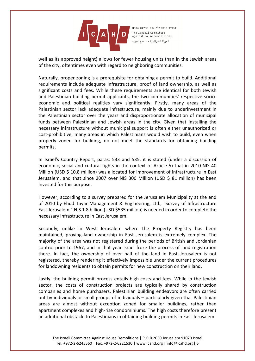

well as its approved height) allows for fewer housing units than in the Jewish areas of the city, oftentimes even with regard to neighboring communities.

Naturally, proper zoning is a prerequisite for obtaining a permit to build. Additional requirements include adequate infrastructure, proof of land ownership, as well as significant costs and fees. While these requirements are identical for both Jewish and Palestinian building permit applicants, the two communities' respective socioeconomic and political realities vary significantly. Firstly, many areas of the Palestinian sector lack adequate infrastructure, mainly due to underinvestment in the Palestinian sector over the years and disproportionate allocation of municipal funds between Palestinian and Jewish areas in the city. Given that installing the necessary infrastructure without municipal support is often either unauthorized or cost-prohibitive, many areas in which Palestinians would wish to build, even when properly zoned for building, do not meet the standards for obtaining building permits.

In Israel's Country Report, paras. 533 and 535, it is stated (under a discussion of economic, social and cultural rights in the context of Article 5) that in 2010 NIS 40 Million (USD \$ 10.8 million) was allocated for improvement of infrastructure in East Jerusalem, and that since 2007 over NIS 300 Million (USD \$ 81 million) has been invested for this purpose.

However, according to a survey prepared for the Jerusalem Municipality at the end of 2010 by Ehud Tayar Management & Engineering, Ltd., "Survey of Infrastructure East Jerusalem," NIS 1.8 billion (USD \$535 million) is needed in order to complete the necessary infrastructure in East Jerusalem.

Secondly, unlike in West Jerusalem where the Property Registry has been maintained, proving land ownership in East Jerusalem is extremely complex. The majority of the area was not registered during the periods of British and Jordanian control prior to 1967, and in that year Israel froze the process of land registration there. In fact, the ownership of over half of the land in East Jerusalem is not registered, thereby rendering it effectively impossible under the current procedures for landowning residents to obtain permits for new construction on their land.

Lastly, the building permit process entails high costs and fees. While in the Jewish sector, the costs of construction projects are typically shared by construction companies and home purchasers, Palestinian building endeavors are often carried out by individuals or small groups of individuals – particularly given that Palestinian areas are almost without exception zoned for smaller buildings, rather than apartment complexes and high-rise condominiums. The high costs therefore present an additional obstacle to Palestinians in obtaining building permits in East Jerusalem.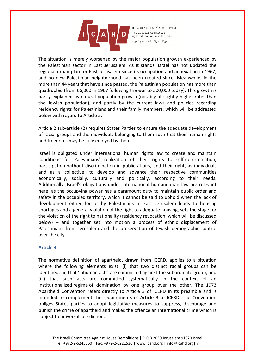

The situation is merely worsened by the major population growth experienced by the Palestinian sector in East Jerusalem. As it stands, Israel has not updated the regional urban plan for East Jerusalem since its occupation and annexation in 1967, and no new Palestinian neighborhood has been created since. Meanwhile, in the more than 44 years that have since passed, the Palestinian population has more than quadrupled (from 66,000 in 1967 following the war to 300,000 today). This growth is partly explained by natural population growth (notably at slightly higher rates than the Jewish population), and partly by the current laws and policies regarding residency rights for Palestinians and their family members, which will be addressed below with regard to Article 5.

Article 2 sub-article (2) requires States Parties to ensure the adequate development of racial groups and the individuals belonging to them such that their human rights and freedoms may be fully enjoyed by them.

Israel is obligated under international human rights law to create and maintain conditions for Palestinians' realization of their rights to self-determination, participation without discrimination in public affairs, and their right, as individuals and as a collective, to develop and advance their respective communities economically, socially, culturally and politically, according to their needs. Additionally, Israel's obligations under international humanitarian law are relevant here, as the occupying power has a paramount duty to maintain public order and safety in the occupied territory, which it cannot be said to uphold when the lack of development either for or by Palestinians in East Jerusalem leads to housing shortages and a general violation of the right to adequate housing, sets the stage for the violation of the right to nationality (residency revocation, which will be discussed below) – and together set into motion a process of ethnic displacement of Palestinians from Jerusalem and the preservation of Jewish demographic control over the city.

## **Article 3**

The normative definition of apartheid, drawn from ICERD, applies to a situation where the following elements exist: (i) that two distinct racial groups can be identified; (ii) that 'inhuman acts' are committed against the subordinate group; and (iii) that such acts are committed systematically in the context of an institutionalized regime of domination by one group over the other. The 1973 Apartheid Convention refers directly to Article 3 of ICERD in its preamble and is intended to complement the requirements of Article 3 of ICERD. The Convention obliges States parties to adopt legislative measures to suppress, discourage and punish the crime of apartheid and makes the offence an international crime which is subject to universal jurisdiction.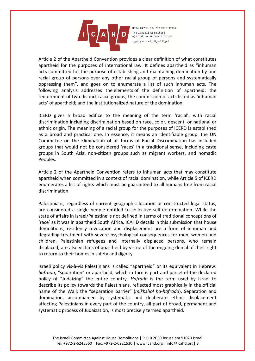

Article 2 of the Apartheid Convention provides a clear definition of what constitutes apartheid for the purposes of international law. It defines apartheid as "inhuman acts committed for the purpose of establishing and maintaining domination by one racial group of persons over any other racial group of persons and systematically oppressing them", and goes on to enumerate a list of such inhuman acts. The following analysis addresses the elements of the definition of apartheid: the requirement of two distinct racial groups; the commission of acts listed as 'inhuman acts' of apartheid; and the institutionalized nature of the domination.

ICERD gives a broad edifice to the meaning of the term 'racial', with racial discrimination including discrimination based on race, color, descent, or national or ethnic origin. The meaning of a racial group for the purposes of ICERD is established as a broad and practical one. In essence, it means an identifiable group. the UN Committee on the Elimination of all forms of Racial Discrimination has included groups that would not be considered 'races' in a traditional sense, including caste groups in South Asia, non-citizen groups such as migrant workers, and nomadic Peoples.

Article 2 of the Apartheid Convention refers to inhuman acts that may constitute apartheid when committed in a context of racial domination, while Article 5 of ICERD enumerates a list of rights which must be guaranteed to all humans free from racial discrimination.

Palestinians, regardless of current geographic location or constructed legal status, are considered a single people entitled to collective self-determination. While the state of affairs in Israel/Palestine is not defined in terms of traditional conceptions of 'race' as it was in apartheid South Africa. ICAHD details in this submission that house demolitions, residency revocation and displacement are a form of inhuman and degrading treatment with severe psychological consequences for men, women and children. Palestinian refugees and internally displaced persons, who remain displaced, are also victims of apartheid by virtue of the ongoing denial of their right to return to their homes in safety and dignity.

Israeli policy vis-à-vis Palestinians is called "apartheid" or its equivalent in Hebrew: *hafrada*, "separation" or apartheid, which in turn is part and parcel of the declared policy of "Judaizing" the entire country. *Hafrada* is the term used by Israel to describe its policy towards the Palestinians, reflected most graphically in the official name of the Wall: the "separation barrier" (*mikhshol ha-hafrada*). Separation and domination, accompanied by systematic and deliberate ethnic displacement affecting Palestinians in every part of the country, all part of broad, permanent and systematic process of Judaization, is most precisely termed apartheid.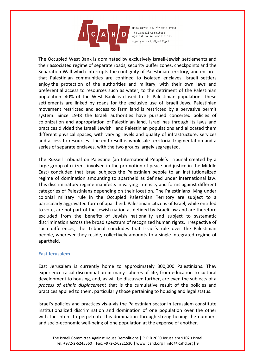

The Occupied West Bank is dominated by exclusively Israeli-Jewish settlements and their associated regime of separate roads, security buffer zones, checkpoints and the Separation Wall which interrupts the contiguity of Palestinian territory, and ensures that Palestinian communities are confined to isolated enclaves. Israeli settlers enjoy the protection of the authorities and military, with their own laws and preferential access to resources such as water, to the detriment of the Palestinian population. 40% of the West Bank is closed to its Palestinian population. These settlements are linked by roads for the exclusive use of Israeli Jews. Palestinian movement restricted and access to farm land is restricted by a pervasive permit system. Since 1948 the Israeli authorities have pursued concerted policies of colonization and appropriation of Palestinian land. Israel has through its laws and practices divided the Israeli Jewish and Palestinian populations and allocated them different physical spaces, with varying levels and quality of infrastructure, services and access to resources. The end result is wholesale territorial fragmentation and a series of separate enclaves, with the two groups largely segregated.

The Russell Tribunal on Palestine (an International People's Tribunal created by a large group of citizens involved in the promotion of peace and justice in the Middle East) concluded that Israel subjects the Palestinian people to an institutionalized regime of domination amounting to apartheid as defined under international law. This discriminatory regime manifests in varying intensity and forms against different categories of Palestinians depending on their location. The Palestinians living under colonial military rule in the Occupied Palestinian Territory are subject to a particularly aggravated form of apartheid. Palestinian citizens of Israel, while entitled to vote, are not part of the Jewish nation as defined by Israeli law and are therefore excluded from the benefits of Jewish nationality and subject to systematic discrimination across the broad spectrum of recognized human rights. Irrespective of such differences, the Tribunal concludes that Israel's rule over the Palestinian people, wherever they reside, collectively amounts to a single integrated regime of apartheid.

## **East Jerusalem**

East Jerusalem is currently home to approximately 300,000 Palestinians. They experience racial discrimination in many spheres of life, from education to cultural development to housing, and, as will be discussed further, are even the subjects of a *process of ethnic displacement* that is the cumulative result of the policies and practices applied to them, particularly those pertaining to housing and legal status.

Israel's policies and practices vis-à-vis the Palestinian sector in Jerusalem constitute institutionalized discrimination and domination of one population over the other with the intent to perpetuate this domination through strengthening the numbers and socio-economic well-being of one population at the expense of another.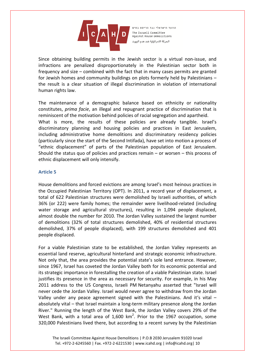

Since obtaining building permits in the Jewish sector is a virtual non-issue, and infractions are penalized disproportionately in the Palestinian sector both in frequency and size – combined with the fact that in many cases permits are granted for Jewish homes and community buildings on plots formerly held by Palestinians – the result is a clear situation of illegal discrimination in violation of international human rights law.

The maintenance of a demographic balance based on ethnicity or nationality constitutes, *prima facie*, an illegal and repugnant practice of discrimination that is reminiscent of the motivation behind policies of racial segregation and apartheid. What is more, the results of these policies are already tangible. Israel's discriminatory planning and housing policies and practices in East Jerusalem, including administrative home demolitions and discriminatory residency policies (particularly since the start of the Second Intifada), have set into motion a process of "ethnic displacement" of parts of the Palestinian population of East Jerusalem. Should the status quo of policies and practices remain – or worsen – this process of ethnic displacement will only intensify.

## **Article 5**

House demolitions and forced evictions are among Israel's most heinous practices in the Occupied Palestinian Territory (OPT). In 2011, a record year of displacement, a total of 622 Palestinian structures were demolished by Israeli authorities, of which 36% (or 222) were family homes; the remainder were livelihood-related (including water storage and agricultural structures), resulting in 1,094 people displaced, almost double the number for 2010. The Jordan Valley sustained the largest number of demolitions (32% of total structures demolished, 40% of residential structures demolished, 37% of people displaced), with 199 structures demolished and 401 people displaced.

For a viable Palestinian state to be established, the Jordan Valley represents an essential land reserve, agricultural hinterland and strategic economic infrastructure. Not only that, the area provides the potential state's sole land entrance. However, since 1967, Israel has coveted the Jordan Valley both for its economic potential and its strategic importance in forestalling the creation of a viable Palestinian state. Israel justifies its presence in the area as necessary for security. For example, in his May 2011 address to the US Congress, Israeli PM Netanyahu asserted that "Israel will never cede the Jordan Valley. Israel would never agree to withdraw from the Jordan Valley under any peace agreement signed with the Palestinians. And it's vital – absolutely vital – that Israel maintain a long-term military presence along the Jordan River." Running the length of the West Bank, the Jordan Valley covers 29% of the West Bank, with a total area of  $1,600$  km<sup>2</sup>. Prior to the 1967 occupation, some 320,000 Palestinians lived there, but according to a recent survey by the Palestinian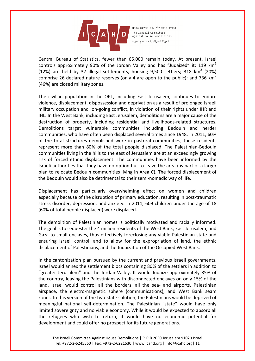

Central Bureau of Statistics, fewer than 65,000 remain today. At present, Israel controls approximately 90% of the Jordan Valley and has "Judaized" it: 119  $km^2$ (12%) are held by 37 illegal settlements, housing 9,500 settlers; 318  $km^2$  (20%) comprise 26 declared nature reserves (only 4 are open to the public); and 736  $km^2$ (46%) are closed military zones.

The civilian population in the OPT, including East Jerusalem, continues to endure violence, displacement, dispossession and deprivation as a result of prolonged Israeli military occupation and on-going conflict, in violation of their rights under IHR and IHL. In the West Bank, including East Jerusalem, demolitions are a major cause of the destruction of property, including residential and livelihoods-related structures. Demolitions target vulnerable communities including Bedouin and herder communities, who have often been displaced several times since 1948. In 2011, 60% of the total structures demolished were in pastoral communities; these residents represent more than 80% of the total people displaced. The Palestinian-Bedouin communities living in the hills to the east of Jerusalem are at an exceedingly growing risk of forced ethnic displacement. The communities have been informed by the Israeli authorities that they have no option but to leave the area (as part of a larger plan to relocate Bedouin communities living in Area C). The forced displacement of the Bedouin would also be detrimental to their semi-nomadic way of life.

Displacement has particularly overwhelming effect on women and children especially because of the disruption of primary education, resulting in post-traumatic stress disorder, depression, and anxiety. In 2011, 609 children under the age of 18 (60% of total people displaced) were displaced.

The demolition of Palestinian homes is politically motivated and racially informed. The goal is to sequester the 4 million residents of the West Bank, East Jerusalem, and Gaza to small enclaves, thus effectively foreclosing any viable Palestinian state and ensuring Israeli control, and to allow for the expropriation of land, the ethnic displacement of Palestinians, and the Judaization of the Occupied West Bank.

In the cantonization plan pursued by the current and previous Israeli governments, Israel would annex the settlement blocs containing 80% of the settlers in addition to "greater Jerusalem" and the Jordan Valley. It would Judaize approximately 85% of the country, leaving the Palestinians with disconnected enclaves on only 15% of the land. Israel would control all the borders, all the sea- and airports, Palestinian airspace, the electro-magnetic sphere (communications), and West Bank seam zones. In this version of the two-state solution, the Palestinians would be deprived of meaningful national self-determination. The Palestinian "state" would have only limited sovereignty and no viable economy. While it would be expected to absorb all the refugees who wish to return, it would have no economic potential for development and could offer no prospect for its future generations.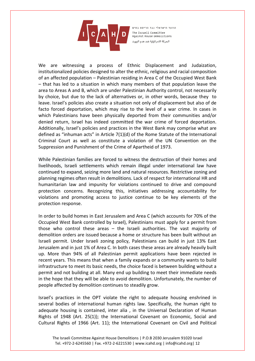

We are witnessing a process of Ethnic Displacement and Judaization, institutionalized policies designed to alter the ethnic, religious and racial composition of an affected population – Palestinian residing in Area C of the Occupied West Bank – that has led to a situation in which many members of that population leave the area to Areas A and B, which are under Palestinian Authority control, not necessarily by choice, but due to the lack of alternatives or, in other words, because they to leave. Israel's policies also create a situation not only of displacement but also of de facto forced deportation, which may rise to the level of a war crime. In cases in which Palestinians have been physically deported from their communities and/or denied return, Israel has indeed committed the war crime of forced deportation. Additionally, Israel's policies and practices in the West Bank may comprise what are defined as "inhuman acts" in Article 7(1)(d) of the Rome Statute of the International Criminal Court as well as constitute a violation of the UN Convention on the Suppression and Punishment of the Crime of Apartheid of 1973.

While Palestinian families are forced to witness the destruction of their homes and livelihoods, Israeli settlements which remain illegal under international law have continued to expand, seizing more land and natural resources. Restrictive zoning and planning regimes often result in demolitions. Lack of respect for international HR and humanitarian law and impunity for violations continued to drive and compound protection concerns. Recognizing this, initiatives addressing accountability for violations and promoting access to justice continue to be key elements of the protection response.

In order to build homes in East Jerusalem and Area C (which accounts for 70% of the Occupied West Bank controlled by Israel), Palestinians must apply for a permit from those who control these areas – the Israeli authorities. The vast majority of demolition orders are issued because a home or structure has been built without an Israeli permit. Under Israeli zoning policy, Palestinians can build in just 13% East Jerusalem and in just 1% of Area C. In both cases these areas are already heavily built up. More than 94% of all Palestinian permit applications have been rejected in recent years. This means that when a family expands or a community wants to build infrastructure to meet its basic needs, the choice faced is between building without a permit and not building at all. Many end up building to meet their immediate needs in the hope that they will be able to avoid demolition. Unfortunately, the number of people affected by demolition continues to steadily grow.

Israel's practices in the OPT violate the right to adequate housing enshrined in several bodies of international human rights law. Specifically, the human right to adequate housing is contained, inter alia , in the Universal Declaration of Human Rights of 1948 (Art. 25(1)); the International Covenant on Economic, Social and Cultural Rights of 1966 (Art. 11); the International Covenant on Civil and Political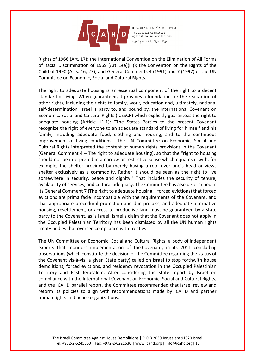

Rights of 1966 (Art. 17); the International Convention on the Elimination of All Forms of Racial Discrimination of 1969 (Art. 5(e)(iii)); the Convention on the Rights of the Child of 1990 (Arts. 16, 27); and General Comments 4 (1991) and 7 (1997) of the UN Committee on Economic, Social and Cultural Rights.

The right to adequate housing is an essential component of the right to a decent standard of living. When guaranteed, it provides a foundation for the realization of other rights, including the rights to family, work, education and, ultimately, national self-determination. Israel is party to, and bound by, the International Covenant on Economic, Social and Cultural Rights (ICESCR) which explicitly guarantees the right to adequate housing (Article 11.1): "The States Parties to the present Covenant recognize the right of everyone to an adequate standard of living for himself and his family, including adequate food, clothing and housing, and to the continuous improvement of living conditions." The UN Committee on Economic, Social and Cultural Rights interpreted the content of human rights provisions in the Covenant (General Comment  $4$  – The right to adequate housing), so that the "right to housing should not be interpreted in a narrow or restrictive sense which equates it with, for example, the shelter provided by merely having a roof over one's head or views shelter exclusively as a commodity. Rather it should be seen as the right to live somewhere in security, peace and dignity." That includes the security of tenure, availability of services, and cultural adequacy. The Committee has also determined in its General Comment 7 (The right to adequate housing – forced evictions) that forced evictions are prima facie incompatible with the requirements of the Covenant, and that appropriate procedural protection and due process, and adequate alternative housing, resettlement, or access to productive land must be guaranteed by a state party to the Covenant, as is Israel. Israel's claim that the Covenant does not apply in the Occupied Palestinian Territory has been dismissed by all the UN human rights treaty bodies that oversee compliance with treaties.

The UN Committee on Economic, Social and Cultural Rights, a body of independent experts that monitors implementation of the Covenant, in its 2011 concluding observations (which constitute the decision of the Committee regarding the status of the Covenant vis-à-vis a given State party) called on Israel to stop forthwith house demolitions, forced evictions, and residency revocation in the Occupied Palestinian Territory and East Jerusalem. After considering the state report by Israel on compliance with the International Covenant on Economic, Social and Cultural Rights, and the ICAHD parallel report, the Committee recommended that Israel review and reform its policies to align with recommendations made by ICAHD and partner human rights and peace organizations.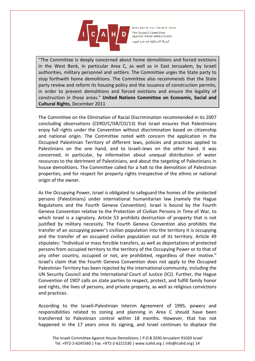

"The Committee is deeply concerned about home demolitions and forced evictions in the West Bank, in particular Area C, as well as in East Jerusalem, by Israeli authorities, military personnel and settlers. The Committee urges the State party to stop forthwith home demolitions. The Committee also recommends that the State party review and reform its housing policy and the issuance of construction permits, in order to prevent demolitions and forced evictions and ensure the legality of construction in those areas." **United Nations Committee on Economic, Social and Cultural Rights**, December 2011

The Committee on the Elimination of Racial Discrimination recommended in its 2007 concluding observations (CERD/C/ISR/CO/13) that Israel ensures that Palestinians enjoy full rights under the Convention without discrimination based on citizenship and national origin. The Committee noted with concern the application in the Occupied Palestinian Territory of different laws, policies and practices applied to Palestinians on the one hand, and to Israeli-Jews on the other hand. It was concerned, in particular, by information about unequal distribution of water resources to the detriment of Palestinians, and about the targeting of Palestinians in house demolitions. The Committee called for a halt to the demolition of Palestinian properties, and for respect for property rights irrespective of the ethnic or national origin of the owner.

As the Occupying Power, Israel is obligated to safeguard the homes of the protected persons (Palestinians) under international humanitarian law (namely the Hague Regulations and the Fourth Geneva Convention). Israel is bound by the Fourth Geneva Convention relative to the Protection of Civilian Persons in Time of War, to which Israel is a signatory. Article 53 prohibits destruction of property that is not justified by military necessity. The Fourth Geneva Convention also prohibits the transfer of an occupying power's civilian population into the territory it is occupying and the transfer of an occupied civilian population out of its territory. Article 49 stipulates: "Individual or mass forcible transfers, as well as deportations of protected persons from occupied territory to the territory of the Occupying Power or to that of any other country, occupied or not, are prohibited, regardless of their motive." Israel's claim that the Fourth Geneva Convention does not apply to the Occupied Palestinian Territory has been rejected by the international community, including the UN Security Council and the International Court of Justice (ICJ). Further, the Hague Convention of 1907 calls on state parties to respect, protect, and fulfill family honor and rights, the lives of persons, and private property, as well as religious convictions and practices.

According to the Israeli-Palestinian Interim Agreement of 1995, powers and responsibilities related to zoning and planning in Area C should have been transferred to Palestinian control within 18 months. However, that has not happened in the 17 years since its signing, and Israel continues to displace the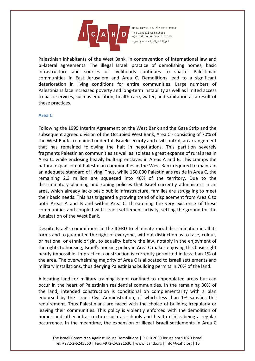

Palestinian inhabitants of the West Bank, in contravention of international law and bi-lateral agreements. The illegal Israeli practice of demolishing homes, basic infrastructure and sources of livelihoods continues to shatter Palestinian communities in East Jerusalem and Area C. Demolitions lead to a significant deterioration in living conditions for entire communities. Large numbers of Palestinians face increased poverty and long-term instability as well as limited access to basic services, such as education, health care, water, and sanitation as a result of these practices.

## **Area C**

Following the 1995 Interim Agreement on the West Bank and the Gaza Strip and the subsequent agreed division of the Occupied West Bank, Area C - consisting of 70% of the West Bank - remained under full Israeli security and civil control, an arrangement that has remained following the halt in negotiations. This partition severely fragments Palestinian communities as well as isolates a great expanse of rural area in Area C, while enclosing heavily built-up enclaves in Areas A and B. This cramps the natural expansion of Palestinian communities in the West Bank required to maintain an adequate standard of living. Thus, while 150,000 Palestinians reside in Area C, the remaining 2.3 million are squeezed into 40% of the territory. Due to the discriminatory planning and zoning policies that Israel currently administers in an area, which already lacks basic public infrastructure, families are struggling to meet their basic needs. This has triggered a growing trend of displacement from Area C to both Areas A and B and within Area C, threatening the very existence of these communities and coupled with Israeli settlement activity, setting the ground for the Judaization of the West Bank.

Despite Israel's commitment in the ICERD to eliminate racial discrimination in all its forms and to guarantee the right of everyone, without distinction as to race, colour, or national or ethnic origin, to equality before the law, notably in the enjoyment of the rights to housing, Israel's housing policy in Area C makes enjoying this basic right nearly impossible. In practice, construction is currently permitted in less than 1% of the area. The overwhelming majority of Area C is allocated to Israeli settlements and military installations, thus denying Palestinians building permits in 70% of the land.

Allocating land for military training is not confined to unpopulated areas but can occur in the heart of Palestinian residential communities. In the remaining 30% of the land, intended construction is conditional on complementarity with a plan endorsed by the Israeli Civil Administration, of which less than 1% satisfies this requirement. Thus Palestinians are faced with the choice of building irregularly or leaving their communities. This policy is violently enforced with the demolition of homes and other infrastructure such as schools and health clinics being a regular occurrence. In the meantime, the expansion of illegal Israeli settlements in Area C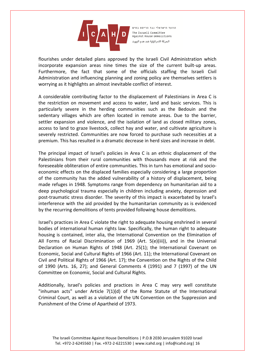

flourishes under detailed plans approved by the Israeli Civil Administration which incorporate expansion areas nine times the size of the current built-up areas. Furthermore, the fact that some of the officials staffing the Israeli Civil Administration and influencing planning and zoning policy are themselves settlers is worrying as it highlights an almost inevitable conflict of interest.

A considerable contributing factor to the displacement of Palestinians in Area C is the restriction on movement and access to water, land and basic services. This is particularly severe in the herding communities such as the Bedouin and the sedentary villages which are often located in remote areas. Due to the barrier, settler expansion and violence, and the isolation of land as closed military zones, access to land to graze livestock, collect hay and water, and cultivate agriculture is severely restricted. Communities are now forced to purchase such necessities at a premium. This has resulted in a dramatic decrease in herd sizes and increase in debt.

The principal impact of Israel's policies in Area C is an ethnic displacement of the Palestinians from their rural communities with thousands more at risk and the foreseeable obliteration of entire communities. This in turn has emotional and socioeconomic effects on the displaced families especially considering a large proportion of the community has the added vulnerability of a history of displacement, being made refuges in 1948. Symptoms range from dependency on humanitarian aid to a deep psychological trauma especially in children including anxiety, depression and post-traumatic stress disorder. The severity of this impact is exacerbated by Israel's interference with the aid provided by the humanitarian community as is evidenced by the recurring demolitions of tents provided following house demolitions.

Israel's practices in Area C violate the right to adequate housing enshrined in several bodies of international human rights law. Specifically, the human right to adequate housing is contained, inter alia, the International Convention on the Elimination of All Forms of Racial Discrimination of 1969 (Art. 5(e)(iii)), and in the Universal Declaration on Human Rights of 1948 (Art. 25(1); the International Covenant on Economic, Social and Cultural Rights of 1966 (Art. 11); the International Covenant on Civil and Political Rights of 1966 (Art. 17); the Convention on the Rights of the Child of 1990 (Arts. 16, 27); and General Comments 4 (1991) and 7 (1997) of the UN Committee on Economic, Social and Cultural Rights.

Additionally, Israel's policies and practices in Area C may very well constitute "inhuman acts" under Article 7(1)(d) of the Rome Statute of the International Criminal Court, as well as a violation of the UN Convention on the Suppression and Punishment of the Crime of Apartheid of 1973.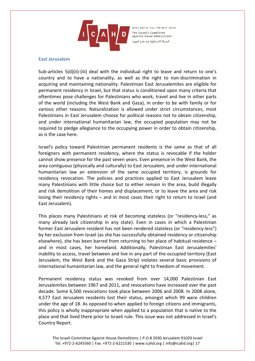

#### **East Jerusalem**

Sub-articles 5(d)(ii)-(iii) deal with the individual right to leave and return to one's country and to have a nationality, as well as the right to non-discrimination in acquiring and maintaining nationality. Palestinian East Jerusalemites are eligible for permanent residency in Israel, but that status is conditioned upon many criteria that oftentimes pose challenges for Palestinians who work, travel and live in other parts of the world (including the West Bank and Gaza), in order to be with family or for various other reasons. Naturalization is allowed under strict circumstances, most Palestinians in East Jerusalem choose for political reasons not to obtain citizenship, and under international humanitarian law, the occupied population may not be required to pledge allegiance to the occupying power in order to obtain citizenship, as is the case here.

Israel's policy toward Palestinian permanent residents is the same as that of all foreigners with permanent residency, where the status is revocable if the holder cannot show presence for the past seven years. Even presence in the West Bank, the area contiguous (physically and culturally) to East Jerusalem, and under international humanitarian law an extension of the same occupied territory, is grounds for residency revocation. The policies and practices applied to East Jerusalem leave many Palestinians with little choice but to either remain in the area, build illegally and risk demolition of their homes and displacement, or to leave the area and risk losing their residency rights – and in most cases their right to return to Israel (and East Jerusalem).

This places many Palestinians at risk of becoming stateless (or "residency-less," as many already lack citizenship in any state). Even in cases in which a Palestinian former East Jerusalem resident has not been rendered stateless (or "residency-less") by her exclusion from Israel (as she has successfully obtained residency or citizenship elsewhere), she has been barred from returning to her place of habitual residence – and in most cases, her homeland. Additionally, Palestinian East Jerusalemites' inability to access, travel between and live in any part of the occupied territory (East Jerusalem, the West Bank and the Gaza Strip) violates several basic provisions of international humanitarian law, and the general right to freedom of movement.

Permanent residency status was revoked from over 14,000 Palestinian East Jerusalemites between 1967 and 2011, and revocations have increased over the past decade. Some 6,500 revocations took place between 2006 and 2008. In 2008 alone, 4,577 East Jerusalem residents lost their status, amongst which 99 were children under the age of 18. As opposed to when applied to foreign citizens and immigrants, this policy is wholly inappropriate when applied to a population that is native to the place and that lived there prior to Israeli rule. This issue was not addressed in Israel's Country Report.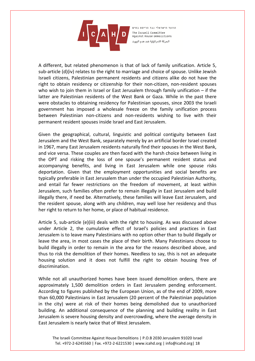

A different, but related phenomenon is that of lack of family unification. Article 5, sub-article (d)(iv) relates to the right to marriage and choice of spouse. Unlike Jewish Israeli citizens, Palestinian permanent residents and citizens alike do not have the right to obtain residency or citizenship for their non-citizen, non-resident spouses who wish to join them in Israel or East Jerusalem through family unification – if the latter are Palestinian residents of the West Bank or Gaza. While in the past there were obstacles to obtaining residency for Palestinian spouses, since 2003 the Israeli government has imposed a wholesale freeze on the family unification process between Palestinian non-citizens and non-residents wishing to live with their permanent resident spouses inside Israel and East Jerusalem.

Given the geographical, cultural, linguistic and political contiguity between East Jerusalem and the West Bank, separately merely by an artificial border Israel created in 1967, many East Jerusalem residents naturally find their spouses in the West Bank, and vice versa. These couples are then faced with the harsh choice between living in the OPT and risking the loss of one spouse's permanent resident status and accompanying benefits, and living in East Jerusalem while one spouse risks deportation. Given that the employment opportunities and social benefits are typically preferable in East Jerusalem than under the occupied Palestinian Authority, and entail far fewer restrictions on the freedom of movement, at least within Jerusalem, such families often prefer to remain illegally in East Jerusalem and build illegally there, if need be. Alternatively, these families will leave East Jerusalem, and the resident spouse, along with any children, may well lose her residency and thus her right to return to her home, or place of habitual residence.

Article 5, sub-article (e)(iii) deals with the right to housing. As was discussed above under Article 2, the cumulative effect of Israel's policies and practices in East Jerusalem is to leave many Palestinians with no option other than to build illegally or leave the area, in most cases the place of their birth. Many Palestinians choose to build illegally in order to remain in the area for the reasons described above, and thus to risk the demolition of their homes. Needless to say, this is not an adequate housing solution and it does not fulfill the right to obtain housing free of discrimination.

While not all unauthorized homes have been issued demolition orders, there are approximately 1,500 demolition orders in East Jerusalem pending enforcement. According to figures published by the European Union, as of the end of 2009, more than 60,000 Palestinians in East Jerusalem (20 percent of the Palestinian population in the city) were at risk of their homes being demolished due to unauthorized building. An additional consequence of the planning and building reality in East Jerusalem is severe housing density and overcrowding, where the average density in East Jerusalem is nearly twice that of West Jerusalem.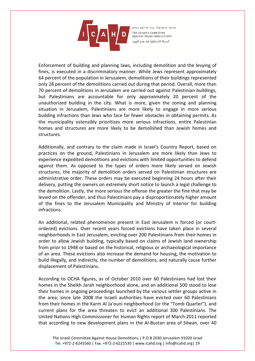

Enforcement of building and planning laws, including demolition and the levying of fines, is executed in a discriminatory manner. While Jews represent approximately 64 percent of the population in Jerusalem, demolitions of their buildings represented only 28 percent of the demolitions carried out during that period. Overall, more than 70 percent of demolitions in Jerusalem are carried out against Palestinian buildings, but Palestinians are accountable for only approximately 20 percent of the unauthorized building in the city. What is more, given the zoning and planning situation in Jerusalem, Palestinians are more likely to engage in more serious building infractions than Jews who face far fewer obstacles in obtaining permits. As the municipality ostensibly prioritizes more serious infractions, entire Palestinian homes and structures are more likely to be demolished than Jewish homes and structures.

Additionally, and contrary to the claim made in Israel's Country Report, based on practices on the ground, Palestinians in Jerusalem are more likely than Jews to experience expedited demolitions and evictions with limited opportunities to defend against them. As opposed to the types of orders more likely served on Jewish structures, the majority of demolition orders served on Palestinian structures are administrative order. These orders may be executed beginning 24 hours after their delivery, putting the owners on extremely short notice to launch a legal challenge to the demolition. Lastly, the more serious the offense the greater the fine that may be levied on the offender, and thus Palestinians pay a disproportionately higher amount of the fines to the Jerusalem Municipality and Ministry of Interior for building infractions.

An additional, related phenomenon present in East Jerusalem is forced (or courtordered) evictions. Over recent years forced evictions have taken place in several neighborhoods in East Jerusalem, evicting over 200 Palestinians from their homes in order to allow Jewish building, typically based on claims of Jewish land ownership from prior to 1948 or based on the historical, religious or archaeological importance of an area. These evictions also increase the demand for housing, the motivation to build illegally, and indirectly, the number of demolitions, and naturally cause further displacement of Palestinians.

According to OCHA figures, as of October 2010 over 60 Palestinians had lost their homes in the Sheikh Jarah neighborhood alone, and an additional 500 stood to lose their homes in ongoing proceedings launched by the various settler groups active in the area; since late 2008 the Israeli authorities have evicted over 60 Palestinians from their homes in the Karm Al Ja'ouni neighborhood (or the "Tomb Quarter"), and current plans for the area threaten to evict an additional 300 Palestinians. The United Nations High Commissioner for Human Rights report of March 2011 reported that according to new development plans in the Al-Bustan area of Silwan, over 40